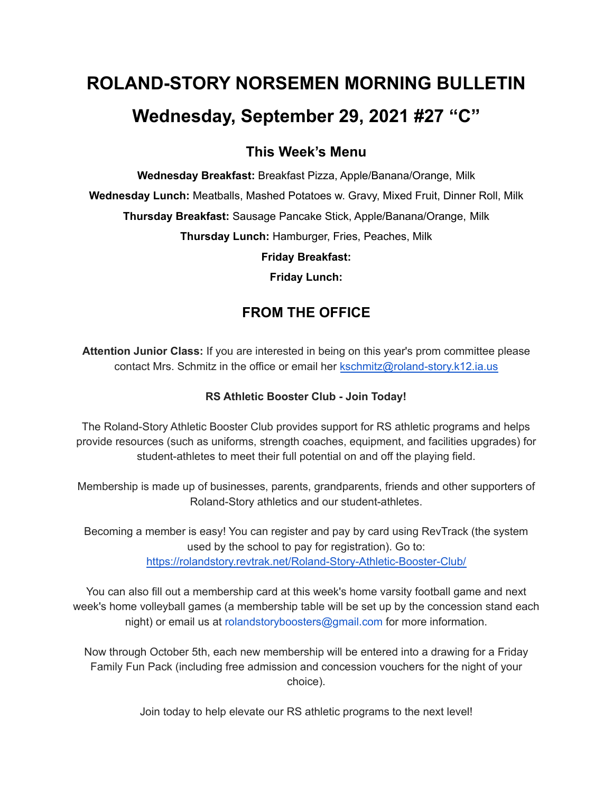# **ROLAND-STORY NORSEMEN MORNING BULLETIN Wednesday, September 29, 2021 #27 "C"**

## **This Week's Menu**

**Wednesday Breakfast:** Breakfast Pizza, Apple/Banana/Orange, Milk **Wednesday Lunch:** Meatballs, Mashed Potatoes w. Gravy, Mixed Fruit, Dinner Roll, Milk **Thursday Breakfast:** Sausage Pancake Stick, Apple/Banana/Orange, Milk **Thursday Lunch:** Hamburger, Fries, Peaches, Milk **Friday Breakfast:**

**Friday Lunch:**

# **FROM THE OFFICE**

**Attention Junior Class:** If you are interested in being on this year's prom committee please contact Mrs. Schmitz in the office or email her [kschmitz@roland-story.k12.ia.us](mailto:kschmitz@roland-story.k12.ia.us)

#### **RS Athletic Booster Club - Join Today!**

The Roland-Story Athletic Booster Club provides support for RS athletic programs and helps provide resources (such as uniforms, strength coaches, equipment, and facilities upgrades) for student-athletes to meet their full potential on and off the playing field.

Membership is made up of businesses, parents, grandparents, friends and other supporters of Roland-Story athletics and our student-athletes.

Becoming a member is easy! You can register and pay by card using RevTrack (the system used by the school to pay for registration). Go to: <https://rolandstory.revtrak.net/Roland-Story-Athletic-Booster-Club/>

You can also fill out a membership card at this week's home varsity football game and next week's home volleyball games (a membership table will be set up by the concession stand each night) or email us at rolandstoryboosters@gmail.com for more information.

Now through October 5th, each new membership will be entered into a drawing for a Friday Family Fun Pack (including free admission and concession vouchers for the night of your choice).

Join today to help elevate our RS athletic programs to the next level!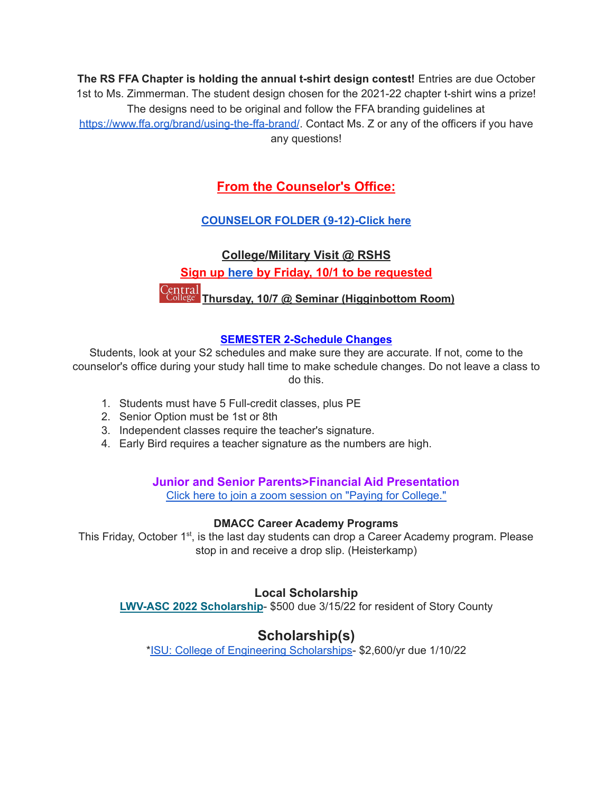**The RS FFA Chapter is holding the annual t-shirt design contest!** Entries are due October 1st to Ms. Zimmerman. The student design chosen for the 2021-22 chapter t-shirt wins a prize! The designs need to be original and follow the FFA branding guidelines at <https://www.ffa.org/brand/using-the-ffa-brand/>. Contact Ms. Z or any of the officers if you have any questions!

### **From the Counselor's Office:**

#### **[COUNSELOR](https://docs.google.com/document/d/1vmwczNPbDzXe9vFaG5LJMQ7NYDv-i4oQJHybqA65TUc/edit?usp=sharing) FOLDER (9-12)-Click here**

# **College/Military Visit @ RSHS Sign up [here](https://forms.gle/9pTD2FPMHGQVCXTcA) by Friday, 10/1 to be requested Thursday, 10/7 @ Seminar (Higginbottom Room)**

#### **SEMESTER 2-Schedule Changes**

Students, look at your S2 schedules and make sure they are accurate. If not, come to the counselor's office during your study hall time to make schedule changes. Do not leave a class to do this.

- 1. Students must have 5 Full-credit classes, plus PE
- 2. Senior Option must be 1st or 8th
- 3. Independent classes require the teacher's signature.
- 4. Early Bird requires a teacher signature as the numbers are high.

#### **Junior and Senior Parents>Financial Aid Presentation**

Click here to join a zoom session on "Paying for [College."](https://www.icansucceed.org/about-ican/services/presentations/ican-events-and-presentations/how-to-pay-for-college-understanding-financial-aid-6bb108)

#### **DMACC Career Academy Programs**

This Friday, October 1<sup>st</sup>, is the last day students can drop a Career Academy program. Please stop in and receive a drop slip. (Heisterkamp)

#### **Local Scholarship**

**LWV-ASC 2022 [Scholarship](https://drive.google.com/file/d/1iMqL_F9MLi1Xgavl3AmBp1FOpwNW4UYl/view?usp=sharing)**- \$500 due 3/15/22 for resident of Story County

# **Scholarship(s)**

\*ISU: College of Engineering [Scholarships](https://www.engineering.iastate.edu/scholarships/first-year-students/)- \$2,600/yr due 1/10/22